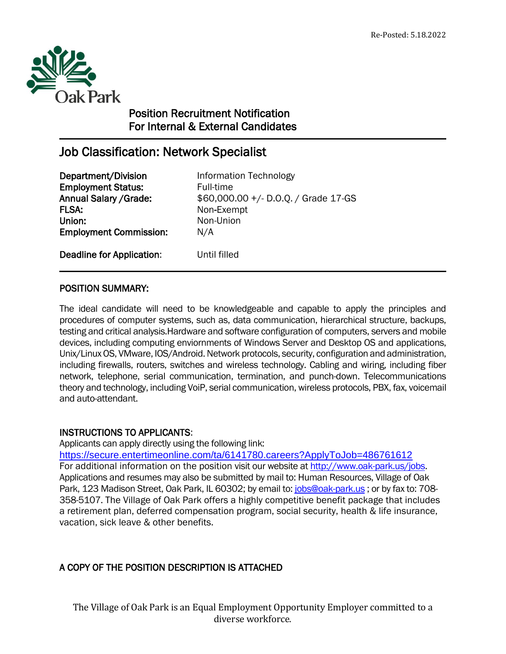

 $\overline{a}$ 

# Position Recruitment Notification For Internal & External Candidates

# Job Classification: Network Specialist

**Department/Division** Information Technology **Employment Status:** Full-time FLSA: Non-Exempt Union: Non-Union Employment Commission: N/A

Annual Salary /Grade: \$60,000.00 +/- D.O.Q. / Grade 17-GS

Deadline for Application: Until filled

## POSITION SUMMARY:

The ideal candidate will need to be knowledgeable and capable to apply the principles and procedures of computer systems, such as, data communication, hierarchical structure, backups, testing and critical analysis.Hardware and software configuration of computers, servers and mobile devices, including computing enviornments of Windows Server and Desktop OS and applications, Unix/Linux OS, VMware, IOS/Android. Network protocols, security, configuration and administration, including firewalls, routers, switches and wireless technology. Cabling and wiring, including fiber network, telephone, serial communication, termination, and punch-down. Telecommunications theory and technology, including VoiP, serial communication, wireless protocols, PBX, fax, voicemail and auto-attendant.

### INSTRUCTIONS TO APPLICANTS:

Applicants can apply directly using the following link:

<https://secure.entertimeonline.com/ta/6141780.careers?ApplyToJob=486761612> For additional information on the position visit our website a[t http://www.oak-park.us/j](http://www.oak-park.us/)obs. Applications and resumes may also be submitted by mail to: Human Resources, Village of Oak Park, 123 Madison Street, Oak Park, IL 60302; by email to: [jobs@oak-park.us](mailto:jobs@oak-park.us) ; or by fax to: 708-358-5107. The Village of Oak Park offers a highly competitive benefit package that includes a retirement plan, deferred compensation program, social security, health & life insurance, vacation, sick leave & other benefits.

## A COPY OF THE POSITION DESCRIPTION IS ATTACHED

The Village of Oak Park is an Equal Employment Opportunity Employer committed to a diverse workforce.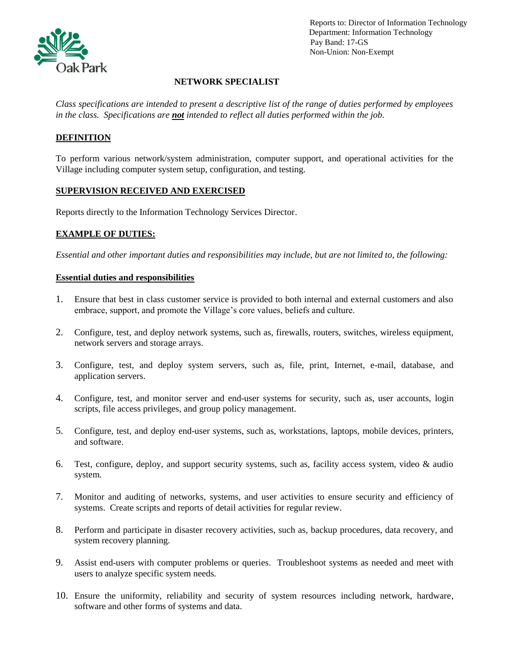

 Reports to: Director of Information Technology Department: Information Technology Pay Band: 17-GS Non-Union: Non-Exempt

### **NETWORK SPECIALIST**

*Class specifications are intended to present a descriptive list of the range of duties performed by employees in the class. Specifications are not intended to reflect all duties performed within the job.*

#### **DEFINITION**

To perform various network/system administration, computer support, and operational activities for the Village including computer system setup, configuration, and testing.

#### **SUPERVISION RECEIVED AND EXERCISED**

Reports directly to the Information Technology Services Director.

#### **EXAMPLE OF DUTIES:**

*Essential and other important duties and responsibilities may include, but are not limited to, the following:*

#### **Essential duties and responsibilities**

- 1. Ensure that best in class customer service is provided to both internal and external customers and also embrace, support, and promote the Village's core values, beliefs and culture.
- 2. Configure, test, and deploy network systems, such as, firewalls, routers, switches, wireless equipment, network servers and storage arrays.
- 3. Configure, test, and deploy system servers, such as, file, print, Internet, e-mail, database, and application servers.
- 4. Configure, test, and monitor server and end-user systems for security, such as, user accounts, login scripts, file access privileges, and group policy management.
- 5. Configure, test, and deploy end-user systems, such as, workstations, laptops, mobile devices, printers, and software.
- 6. Test, configure, deploy, and support security systems, such as, facility access system, video & audio system.
- 7. Monitor and auditing of networks, systems, and user activities to ensure security and efficiency of systems. Create scripts and reports of detail activities for regular review.
- 8. Perform and participate in disaster recovery activities, such as, backup procedures, data recovery, and system recovery planning.
- 9. Assist end-users with computer problems or queries. Troubleshoot systems as needed and meet with users to analyze specific system needs.
- 10. Ensure the uniformity, reliability and security of system resources including network, hardware, software and other forms of systems and data.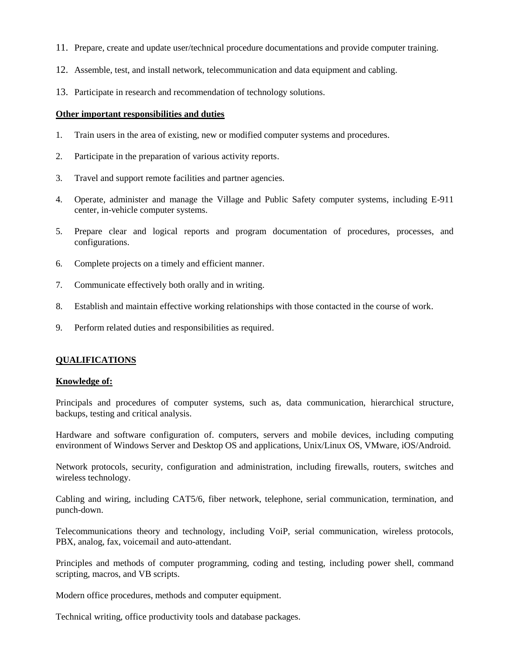- 11. Prepare, create and update user/technical procedure documentations and provide computer training.
- 12. Assemble, test, and install network, telecommunication and data equipment and cabling.
- 13. Participate in research and recommendation of technology solutions.

#### **Other important responsibilities and duties**

- 1. Train users in the area of existing, new or modified computer systems and procedures.
- 2. Participate in the preparation of various activity reports.
- 3. Travel and support remote facilities and partner agencies.
- 4. Operate, administer and manage the Village and Public Safety computer systems, including E-911 center, in-vehicle computer systems.
- 5. Prepare clear and logical reports and program documentation of procedures, processes, and configurations.
- 6. Complete projects on a timely and efficient manner.
- 7. Communicate effectively both orally and in writing.
- 8. Establish and maintain effective working relationships with those contacted in the course of work.
- 9. Perform related duties and responsibilities as required.

#### **QUALIFICATIONS**

#### **Knowledge of:**

Principals and procedures of computer systems, such as, data communication, hierarchical structure, backups, testing and critical analysis.

Hardware and software configuration of. computers, servers and mobile devices, including computing environment of Windows Server and Desktop OS and applications, Unix/Linux OS, VMware, iOS/Android.

Network protocols, security, configuration and administration, including firewalls, routers, switches and wireless technology.

Cabling and wiring, including CAT5/6, fiber network, telephone, serial communication, termination, and punch-down.

Telecommunications theory and technology, including VoiP, serial communication, wireless protocols, PBX, analog, fax, voicemail and auto-attendant.

Principles and methods of computer programming, coding and testing, including power shell, command scripting, macros, and VB scripts.

Modern office procedures, methods and computer equipment.

Technical writing, office productivity tools and database packages.